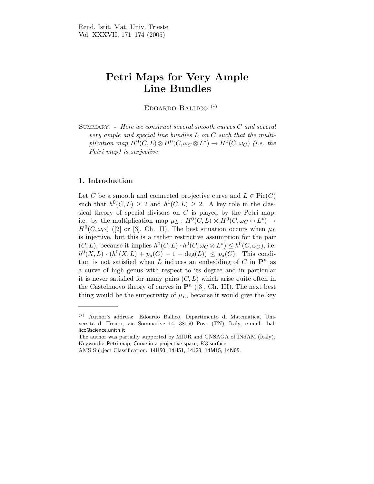# Petri Maps for Very Ample Line Bundles

Edoardo Ballico (∗)

Summary. - Here we construct several smooth curves C and several very ample and special line bundles L on C such that the multiplication map  $H^0(C, L) \otimes H^0(C, \omega_C \otimes L^*) \to H^0(C, \omega_C)$  (i.e. the Petri map) is surjective.

## 1. Introduction

Let C be a smooth and connected projective curve and  $L \in Pic(C)$ such that  $h^0(C, L) \geq 2$  and  $h^1(C, L) \geq 2$ . A key role in the classical theory of special divisors on  $C$  is played by the Petri map, i.e. by the multiplication map  $\mu_L : H^0(C, L) \otimes H^0(C, \omega_C \otimes L^*) \longrightarrow$  $H^0(C, \omega_C)$  ([2] or [3], Ch. II). The best situation occurs when  $\mu_L$ is injective, but this is a rather restrictive assumption for the pair  $(C, L)$ , because it implies  $h^0(C, L) \cdot h^0(C, \omega_C \otimes L^*) \leq h^0(C, \omega_C)$ , i.e.  $h^0(X, L) \cdot (h^0(X, L) + p_a(C) - 1 - \deg(L)) \leq p_a(C)$ . This condition is not satisfied when L induces an embedding of C in  $\mathbf{P}^n$  as a curve of high genus with respect to its degree and in particular it is never satisfied for many pairs  $(C, L)$  which arise quite often in the Castelnuovo theory of curves in  $\mathbf{P}^n$  ([3], Ch. III). The next best thing would be the surjectivity of  $\mu_L$ , because it would give the key

<sup>(</sup>∗) Author's address: Edoardo Ballico, Dipartimento di Matematica, Universitá di Trento, via Sommarive 14, 38050 Povo (TN), Italy, e-mail: ballico@science.unitn.it

The author was partially supported by MIUR and GNSAGA of INdAM (Italy). Keywords: Petri map, Curve in a projective space,  $K3$  surface.

AMS Subject Classification: 14H50, 14H51, 14J28, 14M15, 14N05.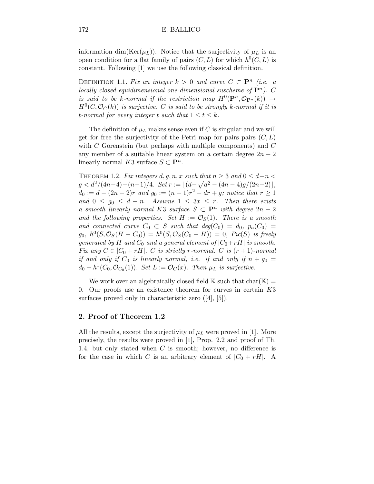information dim(Ker( $\mu$ <sub>L</sub>)). Notice that the surjectivity of  $\mu$ <sub>L</sub> is an open condition for a flat family of pairs  $(C, L)$  for which  $h^0(C, L)$  is constant. Following [1] we use the following classical definition.

DEFINITION 1.1. Fix an integer  $k > 0$  and curve  $C \subset \mathbf{P}^n$  (i.e. a locally closed equidimensional one-dimensional suscheme of  $\mathbf{P}^n$ ). C is said to be k-normal if the restriction map  $H^0(\mathbf{P}^n, \mathcal{O}_{\mathbf{P}^n}(k)) \rightarrow$  $H^0(C,{\cal O}_{C}(k))$  is surjective.  $C$  is said to be strongly k-normal if it is t-normal for every integer t such that  $1 \le t \le k$ .

The definition of  $\mu_L$  makes sense even if C is singular and we will get for free the surjectivity of the Petri map for pairs pairs  $(C, L)$ with  $C$  Gorenstein (but perhaps with multiple components) and  $C$ any member of a suitable linear system on a certain degree  $2n-2$ linearly normal K3 surface  $S \subset \mathbf{P}^n$ .

THEOREM 1.2. Fix integers  $d, g, n, x$  such that  $n \geq 3$  and  $0 \leq d-n$  $g < d^2/(4n-4) - (n-1)/4.$   $Set\ r := \lfloor (d - \sqrt{d^2 - (4n-4)g}/(2n-2) \rfloor,$  $d_0 := d - (2n - 2)r$  and  $g_0 := (n - 1)r^2 - dr + g$ ; notice that  $r \ge 1$ and  $0 \leq g_0 \leq d-n$ . Assume  $1 \leq 3x \leq r$ . Then there exists a smooth linearly normal K3 surface  $S \subset \mathbf{P}^n$  with degree  $2n-2$ and the following properties. Set  $H := \mathcal{O}_S(1)$ . There is a smooth and connected curve  $C_0 \subset S$  such that  $deg(C_0) = d_0$ ,  $p_a(C_0) =$  $g_0, h^0(S, \mathcal{O}_S(H - C_0)) = h^0(S, \mathcal{O}_S(C_0 - H)) = 0$ ,  $Pic(S)$  is freely generated by H and  $C_0$  and a general element of  $|C_0+rH|$  is smooth. Fix any  $C \in |C_0 + rH|$ . C is strictly r-normal. C is  $(r + 1)$ -normal if and only if  $C_0$  is linearly normal, i.e. if and only if  $n + g_0 =$  $d_0 + h^1(C_0, \mathcal{O}_{C_0}(1))$ . Set  $L := \mathcal{O}_C(x)$ . Then  $\mu_L$  is surjective.

We work over an algebraically closed field  $\mathbb K$  such that  $char(\mathbb K)$  = 0. Our proofs use an existence theorem for curves in certain  $K3$ surfaces proved only in characteristic zero ([4], [5]).

### 2. Proof of Theorem 1.2

All the results, except the surjectivity of  $\mu_L$  were proved in [1]. More precisely, the results were proved in [1], Prop. 2.2 and proof of Th. 1.4, but only stated when  $C$  is smooth; however, no difference is for the case in which C is an arbitrary element of  $|C_0 + rH|$ . A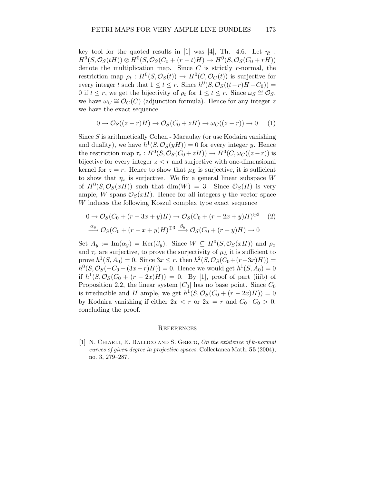key tool for the quoted results in [1] was [4], Th. 4.6. Let  $\eta_t$ :  $H^0(S, \mathcal{O}_S(tH)) \otimes H^0(S, \mathcal{O}_S(C_0 + (r-t)H) \rightarrow H^0(S, \mathcal{O}_S(C_0 + rH))$ denote the multiplication map. Since  $C$  is strictly  $r$ -normal, the restriction map  $\rho_t: H^0(S, \mathcal{O}_S(t)) \to H^0(C, \mathcal{O}_C(t))$  is surjective for every integer t such that  $1 \le t \le r$ . Since  $h^0(S, \mathcal{O}_S((t-r)H-C_0)) =$ 0 if  $t \leq r$ , we get the bijectivity of  $\rho_t$  for  $1 \leq t \leq r$ . Since  $\omega_s \cong \mathcal{O}_S$ , we have  $\omega_C \cong \mathcal{O}_C(C)$  (adjunction formula). Hence for any integer z we have the exact sequence

$$
0 \to \mathcal{O}_S((z-r)H) \to \mathcal{O}_S(C_0+zH) \to \omega_C((z-r)) \to 0 \quad (1)
$$

Since S is arithmetically Cohen - Macaulay (or use Kodaira vanishing and duality), we have  $h^1(S, \mathcal{O}_S(yH)) = 0$  for every integer y. Hence the restriction map  $\tau_z: H^0(S, \mathcal{O}_S(C_0+zH)) \to H^0(C, \omega_C((z-r))$  is bijective for every integer  $z < r$  and surjective with one-dimensional kernel for  $z = r$ . Hence to show that  $\mu_L$  is surjective, it is sufficient to show that  $\eta_x$  is surjective. We fix a general linear subspace W of  $H^0(S, \mathcal{O}_S(xH))$  such that  $dim(W) = 3$ . Since  $\mathcal{O}_S(H)$  is very ample, W spans  $\mathcal{O}_S(xH)$ . Hence for all integers y the vector space W induces the following Koszul complex type exact sequence

$$
0 \to \mathcal{O}_S(C_0 + (r - 3x + y)H) \to \mathcal{O}_S(C_0 + (r - 2x + y)H)^{\oplus 3} \quad (2)
$$
  

$$
\xrightarrow{\alpha_y} \mathcal{O}_S(C_0 + (r - x + y)H)^{\oplus 3} \xrightarrow{\beta_y} \mathcal{O}_S(C_0 + (r + y)H) \to 0
$$

Set  $A_y := \text{Im}(\alpha_y) = \text{Ker}(\beta_y)$ . Since  $W \subseteq H^0(S, \mathcal{O}_S(xH))$  and  $\rho_x$ and  $\tau_r$  are surjective, to prove the surjectivity of  $\mu_L$  it is sufficient to prove  $h^1(S, A_0) = 0$ . Since  $3x \le r$ , then  $h^2(S, \mathcal{O}_S(C_0 + (r-3x)H)) =$  $h^0(S, \mathcal{O}_S(-C_0 + (3x - r)H)) = 0.$  Hence we would get  $h^1(S, A_0) = 0$ if  $h^1(S, \mathcal{O}_S(C_0 + (r - 2x)H)) = 0$ . By [1], proof of part (iiib) of Proposition 2.2, the linear system  $|C_0|$  has no base point. Since  $C_0$ is irreducible and H ample, we get  $h^1(S, \mathcal{O}_S(C_0 + (r - 2x)H)) = 0$ by Kodaira vanishing if either  $2x < r$  or  $2x = r$  and  $C_0 \cdot C_0 > 0$ , concluding the proof.

#### **REFERENCES**

[1] N. CHIARLI, E. BALLICO AND S. GRECO, On the existence of k-normal curves of given degree in projective spaces, Collectanea Math. 55 (2004), no. 3, 279–287.